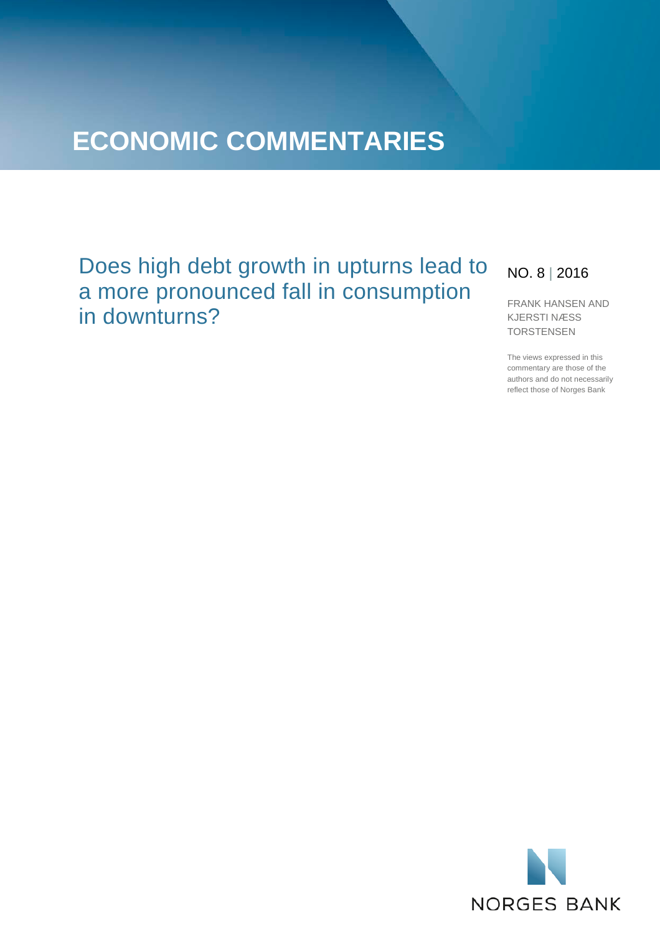# **ECONOMIC COMMENTARIES**

## Does high debt growth in upturns lead to a more pronounced fall in consumption in downturns?

### NO. 8 | 2016

FRANK HANSEN AND KJERSTI NÆSS TORSTENSEN

The views expressed in this commentary are those of the authors and do not necessarily reflect those of Norges Bank

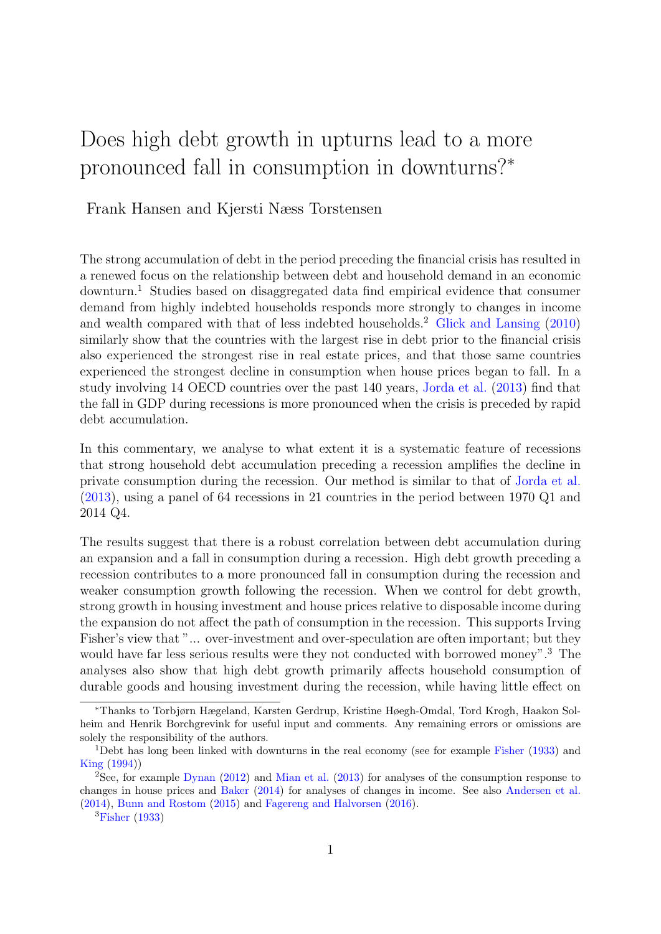## <span id="page-1-0"></span>Does high debt growth in upturns lead to a more pronounced fall in consumption in downturns?<sup>∗</sup>

Frank Hansen and Kjersti Næss Torstensen

The strong accumulation of debt in the period preceding the financial crisis has resulted in a renewed focus on the relationship between debt and household demand in an economic downturn.<sup>1</sup> Studies based on disaggregated data find empirical evidence that consumer demand from highly indebted households responds more strongly to changes in income and wealth compared with that of less indebted households.<sup>2</sup> [Glick and Lansing](#page-9-0)  $(2010)$ similarly show that the countries with the largest rise in debt prior to the financial crisis also experienced the strongest rise in real estate prices, and that those same countries experienced the strongest decline in consumption when house prices began to fall. In a study involving 14 OECD countries over the past 140 years, [Jorda et al.](#page-9-1) [\(2013\)](#page-9-1) find that the fall in GDP during recessions is more pronounced when the crisis is preceded by rapid debt accumulation.

In this commentary, we analyse to what extent it is a systematic feature of recessions that strong household debt accumulation preceding a recession amplifies the decline in private consumption during the recession. Our method is similar to that of [Jorda et al.](#page-9-1) [\(2013\)](#page-9-1), using a panel of 64 recessions in 21 countries in the period between 1970 Q1 and 2014 Q4.

The results suggest that there is a robust correlation between debt accumulation during an expansion and a fall in consumption during a recession. High debt growth preceding a recession contributes to a more pronounced fall in consumption during the recession and weaker consumption growth following the recession. When we control for debt growth, strong growth in housing investment and house prices relative to disposable income during the expansion do not affect the path of consumption in the recession. This supports Irving Fisher's view that "... over-investment and over-speculation are often important; but they would have far less serious results were they not conducted with borrowed money".<sup>3</sup> The analyses also show that high debt growth primarily affects household consumption of durable goods and housing investment during the recession, while having little effect on

<sup>∗</sup>Thanks to Torbjørn Hægeland, Karsten Gerdrup, Kristine Høegh-Omdal, Tord Krogh, Haakon Solheim and Henrik Borchgrevink for useful input and comments. Any remaining errors or omissions are solely the responsibility of the authors.

<sup>1</sup>Debt has long been linked with downturns in the real economy (see for example [Fisher](#page-9-2) [\(1933\)](#page-9-2) and [King](#page-9-3) [\(1994\)](#page-9-3))

<sup>2</sup>See, for example [Dynan](#page-9-4) [\(2012\)](#page-9-4) and [Mian et al.](#page-9-5) [\(2013\)](#page-9-5) for analyses of the consumption response to changes in house prices and [Baker](#page-9-6) [\(2014\)](#page-9-6) for analyses of changes in income. See also [Andersen et al.](#page-9-7) [\(2014\)](#page-9-7), [Bunn and Rostom](#page-9-8) [\(2015\)](#page-9-8) and [Fagereng and Halvorsen](#page-9-9) [\(2016\)](#page-9-9).

 ${}^{3}$ [Fisher](#page-9-2) [\(1933\)](#page-9-2)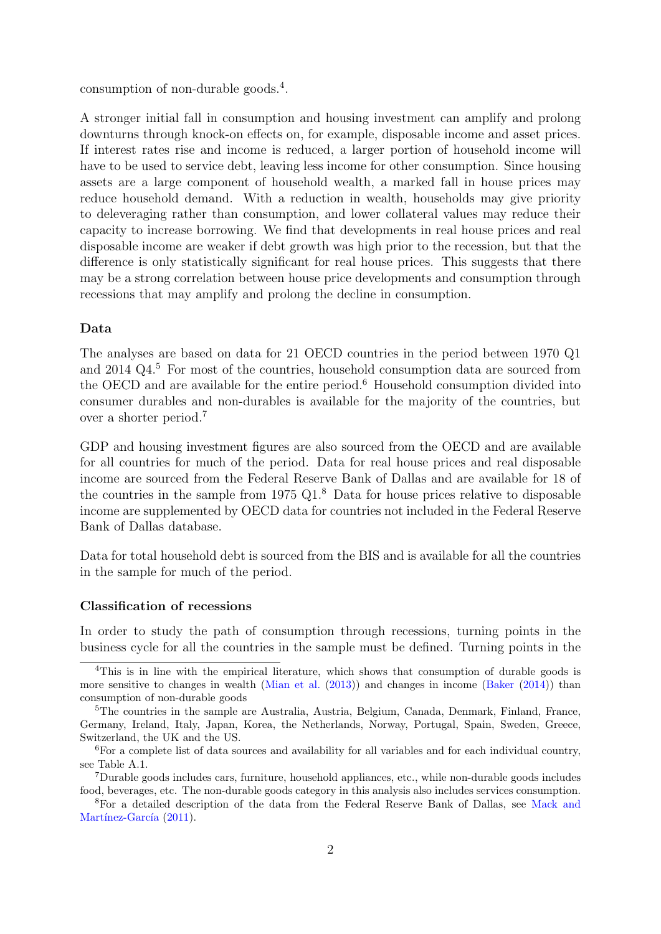consumption of non-durable goods.<sup>[4](#page-1-0)</sup>.

A stronger initial fall in consumption and housing investment can amplify and prolong downturns through knock-on effects on, for example, disposable income and asset prices. If interest rates rise and income is reduced, a larger portion of household income will have to be used to service debt, leaving less income for other consumption. Since housing assets are a large component of household wealth, a marked fall in house prices may reduce household demand. With a reduction in wealth, households may give priority to deleveraging rather than consumption, and lower collateral values may reduce their capacity to increase borrowing. We find that developments in real house prices and real disposable income are weaker if debt growth was high prior to the recession, but that the difference is only statistically significant for real house prices. This suggests that there may be a strong correlation between house price developments and consumption through recessions that may amplify and prolong the decline in consumption.

#### Data

The analyses are based on data for 21 OECD countries in the period between 1970 Q1 and 2014 Q4.[5](#page-1-0) For most of the countries, household consumption data are sourced from the OECD and are available for the entire period.<sup>[6](#page-1-0)</sup> Household consumption divided into consumer durables and non-durables is available for the majority of the countries, but over a shorter period.[7](#page-1-0)

GDP and housing investment figures are also sourced from the OECD and are available for all countries for much of the period. Data for real house prices and real disposable income are sourced from the Federal Reserve Bank of Dallas and are available for 18 of the countries in the sample from  $1975 \text{ Q1}$ .<sup>[8](#page-1-0)</sup> Data for house prices relative to disposable income are supplemented by OECD data for countries not included in the Federal Reserve Bank of Dallas database.

Data for total household debt is sourced from the BIS and is available for all the countries in the sample for much of the period.

#### Classification of recessions

In order to study the path of consumption through recessions, turning points in the business cycle for all the countries in the sample must be defined. Turning points in the

<sup>&</sup>lt;sup>4</sup>This is in line with the empirical literature, which shows that consumption of durable goods is more sensitive to changes in wealth [\(Mian et al.](#page-9-5) [\(2013\)](#page-9-5)) and changes in income [\(Baker](#page-9-6) [\(2014\)](#page-9-6)) than consumption of non-durable goods

<sup>&</sup>lt;sup>5</sup>The countries in the sample are Australia, Austria, Belgium, Canada, Denmark, Finland, France, Germany, Ireland, Italy, Japan, Korea, the Netherlands, Norway, Portugal, Spain, Sweden, Greece, Switzerland, the UK and the US.

<sup>6</sup>For a complete list of data sources and availability for all variables and for each individual country, see Table [A.1.](#page-11-0)

<sup>7</sup>Durable goods includes cars, furniture, household appliances, etc., while non-durable goods includes food, beverages, etc. The non-durable goods category in this analysis also includes services consumption.

<sup>8</sup>For a detailed description of the data from the Federal Reserve Bank of Dallas, see [Mack and](#page-9-10) Martínez-García [\(2011\)](#page-9-10).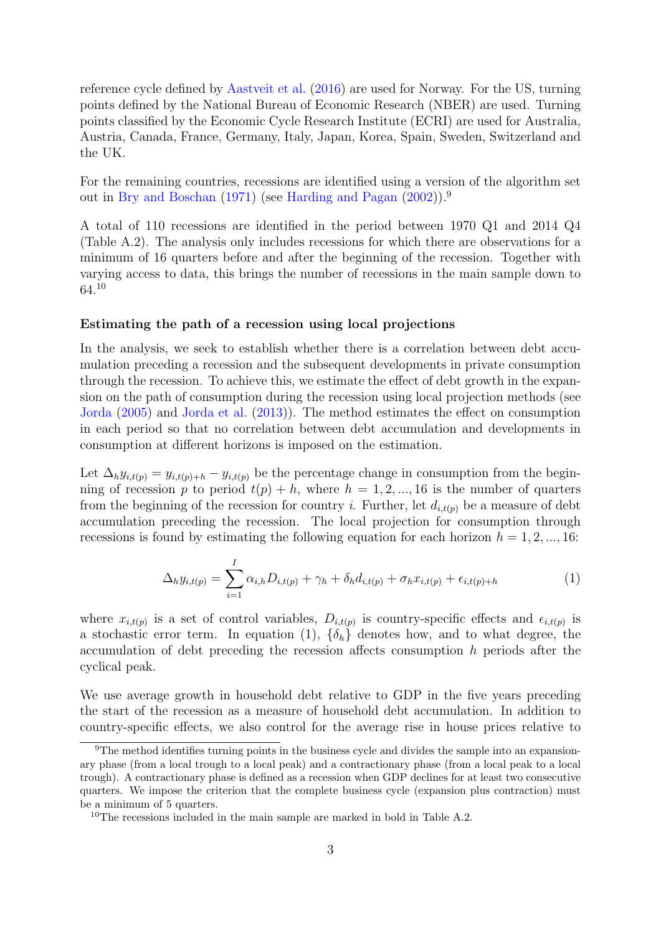reference cycle defined by [Aastveit et al.](#page-9-11) [\(2016\)](#page-9-11) are used for Norway. For the US, turning points defined by the National Bureau of Economic Research (NBER) are used. Turning points classified by the Economic Cycle Research Institute (ECRI) are used for Australia, Austria, Canada, France, Germany, Italy, Japan, Korea, Spain, Sweden, Switzerland and the UK.

For the remaining countries, recessions are identified using a version of the algorithm set out in [Bry and Boschan](#page-9-12) [\(1971\)](#page-9-12) (see [Harding and Pagan](#page-9-13) [\(2002\)](#page-9-13)).[9](#page-1-0)

A total of 110 recessions are identified in the period between 1970 Q1 and 2014 Q4 (Table [A.2\)](#page-12-0). The analysis only includes recessions for which there are observations for a minimum of 16 quarters before and after the beginning of the recession. Together with varying access to data, this brings the number of recessions in the main sample down to 64.[10](#page-1-0)

#### Estimating the path of a recession using local projections

In the analysis, we seek to establish whether there is a correlation between debt accumulation preceding a recession and the subsequent developments in private consumption through the recession. To achieve this, we estimate the effect of debt growth in the expansion on the path of consumption during the recession using local projection methods (see [Jorda](#page-9-14) [\(2005\)](#page-9-14) and [Jorda et al.](#page-9-1) [\(2013\)](#page-9-1)). The method estimates the effect on consumption in each period so that no correlation between debt accumulation and developments in consumption at different horizons is imposed on the estimation.

Let  $\Delta_h y_{i,t(p)} = y_{i,t(p)+h} - y_{i,t(p)}$  be the percentage change in consumption from the beginning of recession p to period  $t(p) + h$ , where  $h = 1, 2, ..., 16$  is the number of quarters from the beginning of the recession for country *i*. Further, let  $d_{i,t(n)}$  be a measure of debt accumulation preceding the recession. The local projection for consumption through recessions is found by estimating the following equation for each horizon  $h = 1, 2, ..., 16$ :

<span id="page-3-0"></span>
$$
\Delta_h y_{i,t(p)} = \sum_{i=1}^I \alpha_{i,h} D_{i,t(p)} + \gamma_h + \delta_h d_{i,t(p)} + \sigma_h x_{i,t(p)} + \epsilon_{i,t(p)+h}
$$
\n(1)

where  $x_{i,t(p)}$  is a set of control variables,  $D_{i,t(p)}$  is country-specific effects and  $\epsilon_{i,t(p)}$  is a stochastic error term. In equation [\(1\)](#page-3-0),  $\{\delta_h\}$  denotes how, and to what degree, the accumulation of debt preceding the recession affects consumption h periods after the cyclical peak.

We use average growth in household debt relative to GDP in the five years preceding the start of the recession as a measure of household debt accumulation. In addition to country-specific effects, we also control for the average rise in house prices relative to

<sup>9</sup>The method identifies turning points in the business cycle and divides the sample into an expansionary phase (from a local trough to a local peak) and a contractionary phase (from a local peak to a local trough). A contractionary phase is defined as a recession when GDP declines for at least two consecutive quarters. We impose the criterion that the complete business cycle (expansion plus contraction) must be a minimum of 5 quarters.

<sup>10</sup>The recessions included in the main sample are marked in bold in Table [A.2.](#page-12-0)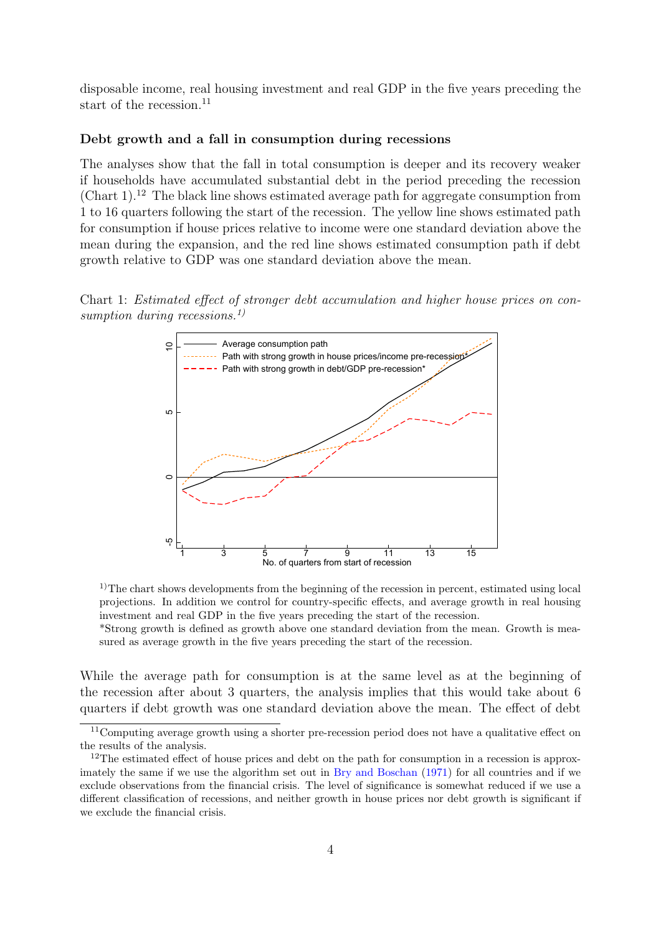disposable income, real housing investment and real GDP in the five years preceding the start of the recession. $^{11}$  $^{11}$  $^{11}$ 

#### Debt growth and a fall in consumption during recessions

The analyses show that the fall in total consumption is deeper and its recovery weaker if households have accumulated substantial debt in the period preceding the recession  $(Chart 1).<sup>12</sup>$  $(Chart 1).<sup>12</sup>$  $(Chart 1).<sup>12</sup>$  $(Chart 1).<sup>12</sup>$  $(Chart 1).<sup>12</sup>$  The black line shows estimated average path for aggregate consumption from 1 to 16 quarters following the start of the recession. The yellow line shows estimated path for consumption if house prices relative to income were one standard deviation above the mean during the expansion, and the red line shows estimated consumption path if debt growth relative to GDP was one standard deviation above the mean.

Chart 1: Estimated effect of stronger debt accumulation and higher house prices on consumption during recessions.<sup>1)</sup>

<span id="page-4-0"></span>

<sup>1)</sup>The chart shows developments from the beginning of the recession in percent, estimated using local projections. In addition we control for country-specific effects, and average growth in real housing investment and real GDP in the five years preceding the start of the recession.

\*Strong growth is defined as growth above one standard deviation from the mean. Growth is measured as average growth in the five years preceding the start of the recession.

While the average path for consumption is at the same level as at the beginning of the recession after about 3 quarters, the analysis implies that this would take about 6 quarters if debt growth was one standard deviation above the mean. The effect of debt

<sup>&</sup>lt;sup>11</sup>Computing average growth using a shorter pre-recession period does not have a qualitative effect on the results of the analysis.

 $12$ The estimated effect of house prices and debt on the path for consumption in a recession is approximately the same if we use the algorithm set out in [Bry and Boschan](#page-9-12) [\(1971\)](#page-9-12) for all countries and if we exclude observations from the financial crisis. The level of significance is somewhat reduced if we use a different classification of recessions, and neither growth in house prices nor debt growth is significant if we exclude the financial crisis.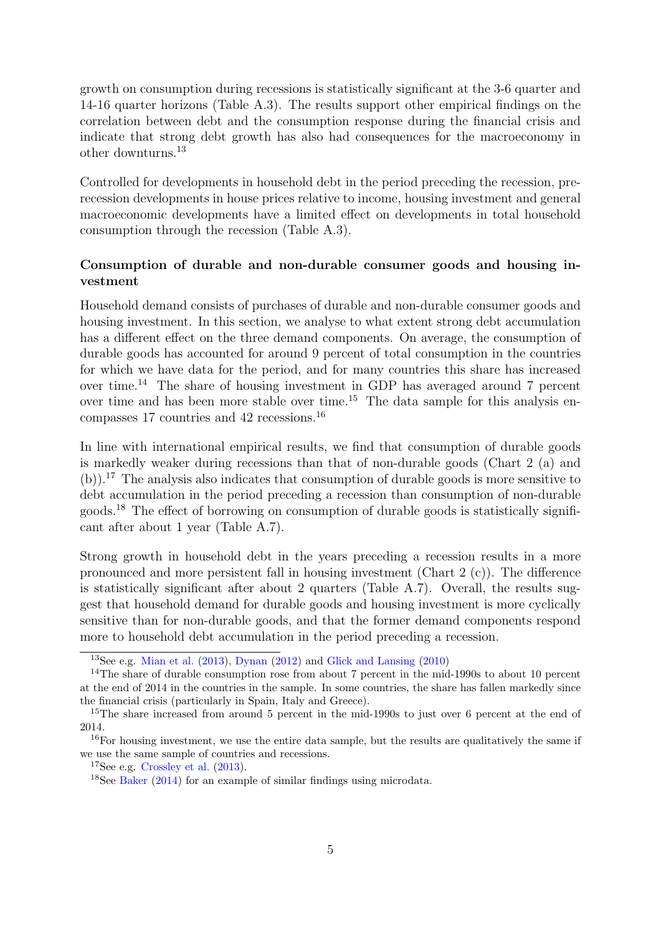growth on consumption during recessions is statistically significant at the 3-6 quarter and 14-16 quarter horizons (Table [A.3\)](#page-13-0). The results support other empirical findings on the correlation between debt and the consumption response during the financial crisis and indicate that strong debt growth has also had consequences for the macroeconomy in other downturns.[13](#page-1-0)

Controlled for developments in household debt in the period preceding the recession, prerecession developments in house prices relative to income, housing investment and general macroeconomic developments have a limited effect on developments in total household consumption through the recession (Table [A.3\)](#page-13-0).

#### Consumption of durable and non-durable consumer goods and housing investment

Household demand consists of purchases of durable and non-durable consumer goods and housing investment. In this section, we analyse to what extent strong debt accumulation has a different effect on the three demand components. On average, the consumption of durable goods has accounted for around 9 percent of total consumption in the countries for which we have data for the period, and for many countries this share has increased over time.[14](#page-1-0) The share of housing investment in GDP has averaged around 7 percent over time and has been more stable over time.[15](#page-1-0) The data sample for this analysis encompasses 17 countries and 42 recessions.[16](#page-1-0)

In line with international empirical results, we find that consumption of durable goods is markedly weaker during recessions than that of non-durable goods (Chart [2](#page-6-0) (a) and (b)).[17](#page-1-0) The analysis also indicates that consumption of durable goods is more sensitive to debt accumulation in the period preceding a recession than consumption of non-durable goods.[18](#page-1-0) The effect of borrowing on consumption of durable goods is statistically significant after about 1 year (Table [A.7\)](#page-17-0).

Strong growth in household debt in the years preceding a recession results in a more pronounced and more persistent fall in housing investment (Chart [2](#page-6-0) (c)). The difference is statistically significant after about 2 quarters (Table [A.7\)](#page-17-0). Overall, the results suggest that household demand for durable goods and housing investment is more cyclically sensitive than for non-durable goods, and that the former demand components respond more to household debt accumulation in the period preceding a recession.

<sup>&</sup>lt;sup>13</sup>See e.g. [Mian et al.](#page-9-5)  $(2013)$ , [Dynan](#page-9-4)  $(2012)$  and [Glick and Lansing](#page-9-0)  $(2010)$ 

<sup>&</sup>lt;sup>14</sup>The share of durable consumption rose from about 7 percent in the mid-1990s to about 10 percent at the end of 2014 in the countries in the sample. In some countries, the share has fallen markedly since the financial crisis (particularly in Spain, Italy and Greece).

<sup>&</sup>lt;sup>15</sup>The share increased from around 5 percent in the mid-1990s to just over 6 percent at the end of 2014.

 $16$ For housing investment, we use the entire data sample, but the results are qualitatively the same if we use the same sample of countries and recessions.

 $17$ See e.g. [Crossley et al.](#page-9-15)  $(2013)$ .

<sup>18</sup>See [Baker](#page-9-6) [\(2014\)](#page-9-6) for an example of similar findings using microdata.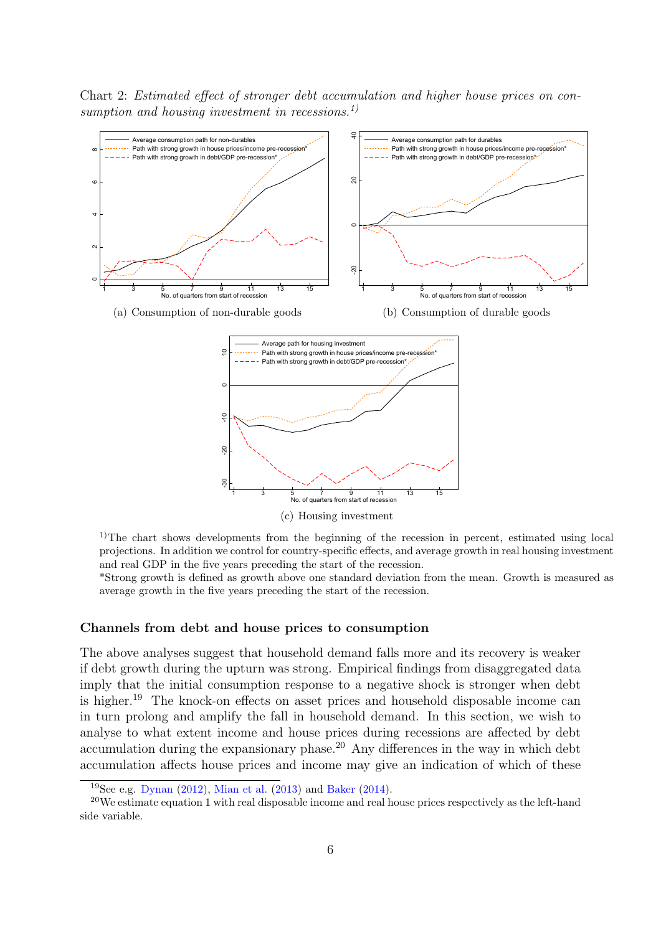Chart 2: Estimated effect of stronger debt accumulation and higher house prices on consumption and housing investment in recessions.<sup>1)</sup>



<span id="page-6-0"></span><sup>1)</sup>The chart shows developments from the beginning of the recession in percent, estimated using local projections. In addition we control for country-specific effects, and average growth in real housing investment and real GDP in the five years preceding the start of the recession.

\*Strong growth is defined as growth above one standard deviation from the mean. Growth is measured as average growth in the five years preceding the start of the recession.

#### Channels from debt and house prices to consumption

The above analyses suggest that household demand falls more and its recovery is weaker if debt growth during the upturn was strong. Empirical findings from disaggregated data imply that the initial consumption response to a negative shock is stronger when debt is higher.[19](#page-1-0) The knock-on effects on asset prices and household disposable income can in turn prolong and amplify the fall in household demand. In this section, we wish to analyse to what extent income and house prices during recessions are affected by debt accumulation during the expansionary phase.<sup>[20](#page-1-0)</sup> Any differences in the way in which debt accumulation affects house prices and income may give an indication of which of these

<sup>&</sup>lt;sup>19</sup>See e.g. [Dynan](#page-9-4) [\(2012\)](#page-9-4), [Mian et al.](#page-9-5) [\(2013\)](#page-9-5) and [Baker](#page-9-6) [\(2014\)](#page-9-6).

<sup>&</sup>lt;sup>20</sup>We estimate equation [1](#page-3-0) with real disposable income and real house prices respectively as the left-hand side variable.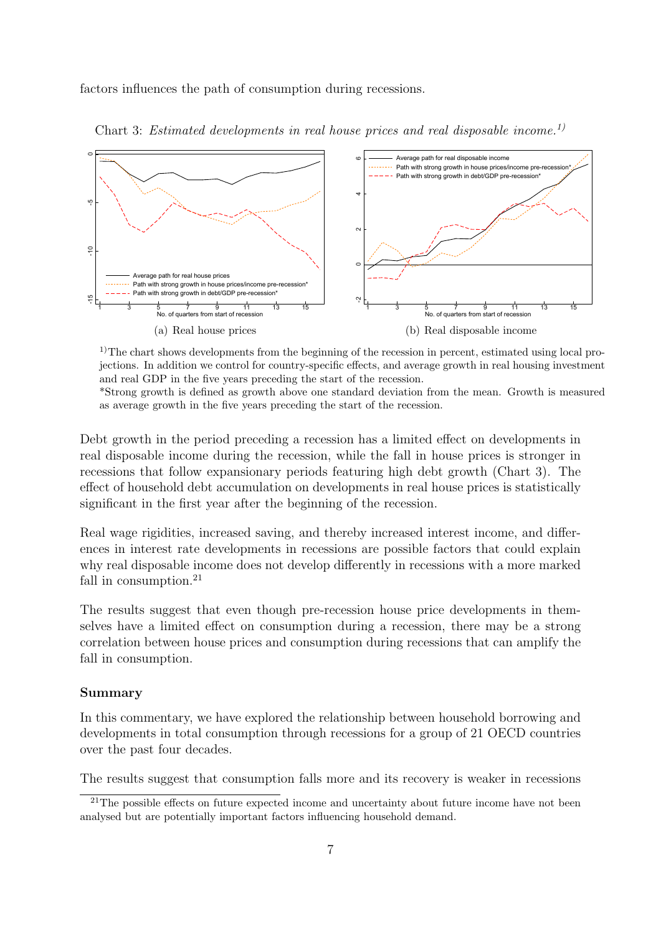factors influences the path of consumption during recessions.



Chart 3: Estimated developments in real house prices and real disposable income.<sup>1)</sup>

<span id="page-7-0"></span><sup>1)</sup>The chart shows developments from the beginning of the recession in percent, estimated using local projections. In addition we control for country-specific effects, and average growth in real housing investment and real GDP in the five years preceding the start of the recession.

\*Strong growth is defined as growth above one standard deviation from the mean. Growth is measured as average growth in the five years preceding the start of the recession.

Debt growth in the period preceding a recession has a limited effect on developments in real disposable income during the recession, while the fall in house prices is stronger in recessions that follow expansionary periods featuring high debt growth (Chart [3\)](#page-7-0). The effect of household debt accumulation on developments in real house prices is statistically significant in the first year after the beginning of the recession.

Real wage rigidities, increased saving, and thereby increased interest income, and differences in interest rate developments in recessions are possible factors that could explain why real disposable income does not develop differently in recessions with a more marked fall in consumption.<sup>[21](#page-1-0)</sup>

The results suggest that even though pre-recession house price developments in themselves have a limited effect on consumption during a recession, there may be a strong correlation between house prices and consumption during recessions that can amplify the fall in consumption.

#### Summary

In this commentary, we have explored the relationship between household borrowing and developments in total consumption through recessions for a group of 21 OECD countries over the past four decades.

The results suggest that consumption falls more and its recovery is weaker in recessions

<sup>&</sup>lt;sup>21</sup>The possible effects on future expected income and uncertainty about future income have not been analysed but are potentially important factors influencing household demand.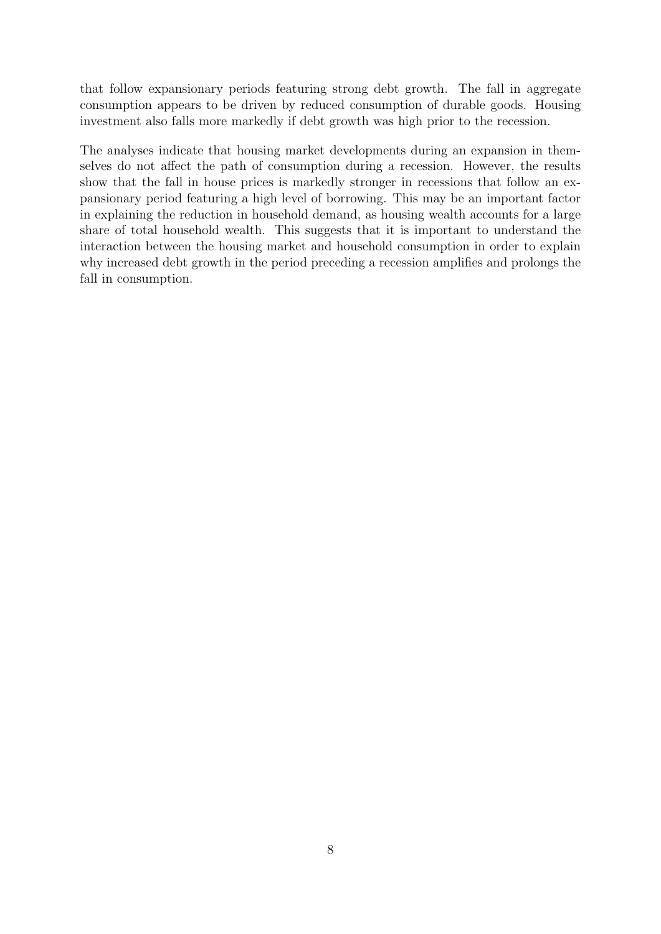that follow expansionary periods featuring strong debt growth. The fall in aggregate consumption appears to be driven by reduced consumption of durable goods. Housing investment also falls more markedly if debt growth was high prior to the recession.

The analyses indicate that housing market developments during an expansion in themselves do not affect the path of consumption during a recession. However, the results show that the fall in house prices is markedly stronger in recessions that follow an expansionary period featuring a high level of borrowing. This may be an important factor in explaining the reduction in household demand, as housing wealth accounts for a large share of total household wealth. This suggests that it is important to understand the interaction between the housing market and household consumption in order to explain why increased debt growth in the period preceding a recession amplifies and prolongs the fall in consumption.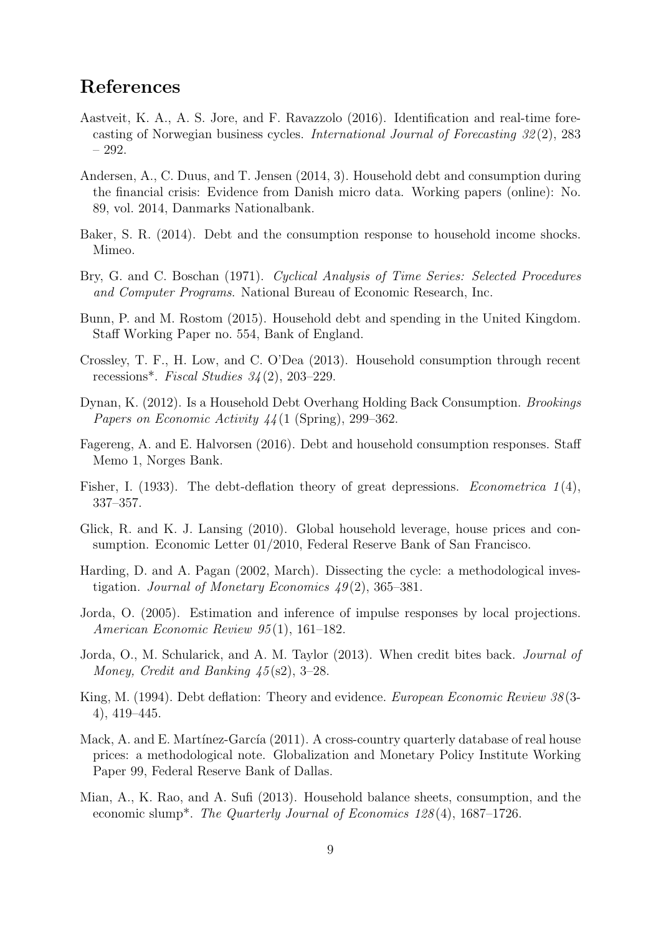### <span id="page-9-17"></span><span id="page-9-16"></span>References

- <span id="page-9-11"></span>Aastveit, K. A., A. S. Jore, and F. Ravazzolo (2016). Identification and real-time forecasting of Norwegian business cycles. International Journal of Forecasting 32 (2), 283 – 292.
- <span id="page-9-7"></span>Andersen, A., C. Duus, and T. Jensen (2014, 3). Household debt and consumption during the financial crisis: Evidence from Danish micro data. Working papers (online): No. 89, vol. 2014, Danmarks Nationalbank.
- <span id="page-9-6"></span>Baker, S. R. (2014). Debt and the consumption response to household income shocks. Mimeo.
- <span id="page-9-12"></span>Bry, G. and C. Boschan (1971). Cyclical Analysis of Time Series: Selected Procedures and Computer Programs. National Bureau of Economic Research, Inc.
- <span id="page-9-8"></span>Bunn, P. and M. Rostom (2015). Household debt and spending in the United Kingdom. Staff Working Paper no. 554, Bank of England.
- <span id="page-9-15"></span>Crossley, T. F., H. Low, and C. O'Dea (2013). Household consumption through recent recessions<sup>\*</sup>. Fiscal Studies  $34(2)$ , 203–229.
- <span id="page-9-4"></span>Dynan, K. (2012). Is a Household Debt Overhang Holding Back Consumption. Brookings Papers on Economic Activity 44 (1 (Spring), 299–362.
- <span id="page-9-9"></span>Fagereng, A. and E. Halvorsen (2016). Debt and household consumption responses. Staff Memo 1, Norges Bank.
- <span id="page-9-2"></span>Fisher, I. (1933). The debt-deflation theory of great depressions. *Econometrica*  $1(4)$ , 337–357.
- <span id="page-9-0"></span>Glick, R. and K. J. Lansing (2010). Global household leverage, house prices and consumption. Economic Letter 01/2010, Federal Reserve Bank of San Francisco.
- <span id="page-9-13"></span>Harding, D. and A. Pagan (2002, March). Dissecting the cycle: a methodological investigation. Journal of Monetary Economics  $49(2)$ , 365–381.
- <span id="page-9-14"></span>Jorda, O. (2005). Estimation and inference of impulse responses by local projections. American Economic Review 95 (1), 161–182.
- <span id="page-9-1"></span>Jorda, O., M. Schularick, and A. M. Taylor (2013). When credit bites back. Journal of Money, Credit and Banking 45 (s2), 3–28.
- <span id="page-9-3"></span>King, M. (1994). Debt deflation: Theory and evidence. European Economic Review 38 (3- 4), 419–445.
- <span id="page-9-10"></span>Mack, A. and E. Martínez-García  $(2011)$ . A cross-country quarterly database of real house prices: a methodological note. Globalization and Monetary Policy Institute Working Paper 99, Federal Reserve Bank of Dallas.
- <span id="page-9-5"></span>Mian, A., K. Rao, and A. Sufi (2013). Household balance sheets, consumption, and the economic slump\*. The Quarterly Journal of Economics 128 (4), 1687–1726.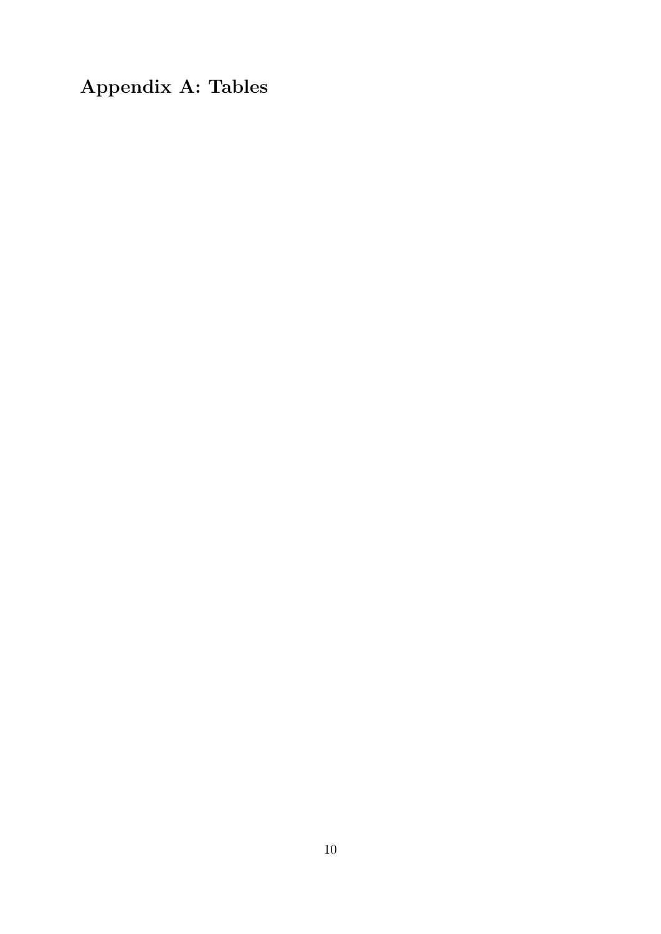Appendix A: Tables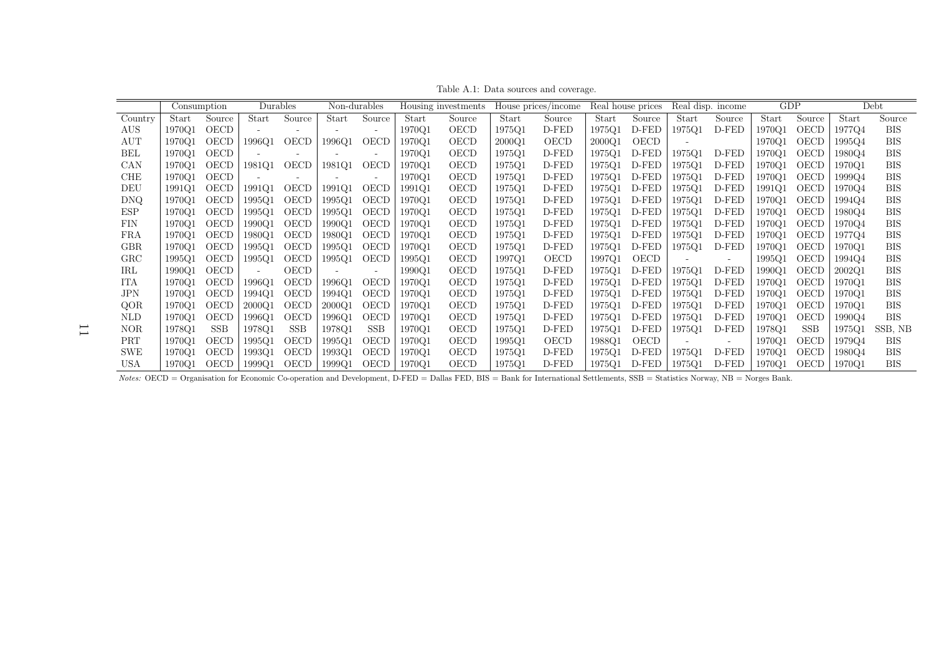<span id="page-11-0"></span>

|              | Consumption |        |                          | Durables | Non-durables |                          |        | Housing investments |        | House prices/income                                                                                                                                                              |        | Real house prices |        | Real disp. income        | <b>GDP</b> |        |        | Debt       |
|--------------|-------------|--------|--------------------------|----------|--------------|--------------------------|--------|---------------------|--------|----------------------------------------------------------------------------------------------------------------------------------------------------------------------------------|--------|-------------------|--------|--------------------------|------------|--------|--------|------------|
| Country      | Start       | Source | Start                    | Source   | Start        | Source                   | Start  | Source              | Start  | Source                                                                                                                                                                           | Start  | Source            | Start  | Source                   | Start      | Source | Start  | Source     |
| AUS.         | 1970Q1      | OECD   | $\overline{\phantom{a}}$ |          |              | ٠                        | 1970Q1 | OECD                | 1975Q1 | D-FED                                                                                                                                                                            | 1975Q1 | D-FED             | 1975Q1 | D-FED                    | 1970Q1     | OECD   | 1977Q4 | <b>BIS</b> |
| AUT          | 1970O1      | OECD   | 1996Q1                   | OECD     | 1996O1       | OECD                     | 1970Q1 | OECD                | 2000Q1 | OECD                                                                                                                                                                             | 2000Q1 | OECD              |        |                          | 1970Q1     | OECD   | 1995Q4 | <b>BIS</b> |
| BEL          | 197001      | OECD   |                          |          |              | $\overline{\phantom{a}}$ | 1970Q1 | OECD                | 1975Q1 | D-FED                                                                                                                                                                            | 1975Q1 | D-FED             | 1975Q1 | D-FED                    | 1970Q1     | OECD   | 1980Q4 | <b>BIS</b> |
| <b>CAN</b>   | 1970Q1      | OECD   | 1981Q1                   | OECD     | 1981Q1       | OECD                     | 1970Q1 | OECD                | 1975Q1 | D-FED                                                                                                                                                                            | 1975Q1 | D-FED             | 1975Q1 | D-FED                    | 1970Q1     | OECD   | 1970Q1 | <b>BIS</b> |
| <b>CHE</b>   | 1970Q1      | OECD   |                          |          |              | $\overline{\phantom{a}}$ | 1970Q1 | OECD                | 1975Q1 | D-FED                                                                                                                                                                            | 1975Q1 | D-FED             | 1975Q1 | D-FED                    | 1970Q1     | OECD   | 1999Q4 | BIS        |
| DEU          | 1991Q1      | OECD   | 1991Q1                   | OECD     | 1991Q1       | OECD                     | 1991Q1 | OECD                | 1975Q1 | D-FED                                                                                                                                                                            | 1975Q1 | D-FED             | 1975Q1 | D-FED                    | 1991Q1     | OECD   | 1970Q4 | <b>BIS</b> |
| DNQ.         | 1970Q1      | OECD   | 1995Q1                   | OECD     | 1995Q1       | OECD                     | 1970Q1 | OECD                | 1975Q1 | D-FED                                                                                                                                                                            | 1975Q1 | D-FED             | 1975Q1 | D-FED                    | 1970Q1     | OECD   | 1994Q4 | BIS        |
| ESP          | 1970Q1      | OECD   | 1995Q1                   | OECD     | 1995Q1       | OECD                     | 1970Q1 | OECD                | 1975Q1 | D-FED                                                                                                                                                                            | 1975Q1 | D-FED             | 1975Q1 | D-FED                    | 1970Q1     | OECD   | 1980Q4 | <b>BIS</b> |
| FIN          | 1970Q1      | OECD   | 1990Q1                   | OECD     | 1990Q1       | OECD                     | 1970Q1 | OECD                | 1975Q1 | D-FED                                                                                                                                                                            | 1975Q1 | D-FED             | 1975Q1 | D-FED                    | 1970Q1     | OECD   | 1970Q4 | BIS        |
| FRA          | 1970Q1      | OECD   | 1980Q1                   | OECD     | 1980Q1       | OECD                     | 1970Q1 | <b>OECD</b>         | 1975Q1 | D-FED                                                                                                                                                                            | 1975Q1 | D-FED             | 1975Q1 | D-FED                    | 1970Q1     | OECD   | 1977Q4 | <b>BIS</b> |
| <b>GBR</b>   | 197001      | OECD   | 1995Q1                   | OECD     | 1995Q1       | OECD                     | 1970Q1 | OECD                | 1975Q1 | D-FED                                                                                                                                                                            | 1975Q1 | D-FED             | 1975Q1 | D-FED                    | 1970Q1     | OECD   | 1970Q1 | <b>BIS</b> |
| $_{\rm GRC}$ | 199501      | OECD   | 1995Q1                   | OECD     | 1995O1       | OECD                     | 1995Q1 | OECD                | 1997Q1 | OECD                                                                                                                                                                             | 1997Q1 | OECD              |        | $\overline{\phantom{a}}$ | 1995Q1     | OECD   | 1994Q4 | <b>BIS</b> |
| IRL          | 1990Q1      | OECD   | $\overline{\phantom{a}}$ | OECD     |              | $\overline{\phantom{a}}$ | 1990Q1 | OECD                | 1975Q1 | D-FED                                                                                                                                                                            | 1975Q1 | D-FED             | 1975Q1 | D-FED                    | 1990Q1     | OECD   | 2002Q1 | <b>BIS</b> |
| ITA          | 1970Q1      | OECD   | 1996Q1                   | OECD     | 1996Q1       | OECD                     | 1970Q1 | OECD                | 1975Q1 | D-FED                                                                                                                                                                            | 1975Q1 | D-FED             | 1975Q1 | D-FED                    | 1970Q1     | OECD   | 1970Q1 | <b>BIS</b> |
| <b>JPN</b>   | 1970Q1      | OECD   | 1994Q1                   | OECD     | 1994Q1       | OECD                     | 1970Q1 | OECD                | 1975Q1 | D-FED                                                                                                                                                                            | 1975Q1 | D-FED             | 1975Q1 | D-FED                    | 1970Q1     | OECD   | 1970Q1 | <b>BIS</b> |
| QOR          | 1970Q1      | OECD   | 2000Q1                   | OECD     | 2000Q1       | OECD                     | 1970Q1 | OECD                | 1975Q1 | D-FED                                                                                                                                                                            | 1975Q1 | D-FED             | 1975Q1 | D-FED                    | 1970Q1     | OECD   | 1970Q1 | <b>BIS</b> |
| <b>NLD</b>   | 1970Q1      | OECD   | 1996Q1                   | OECD     | 1996Q1       | OECD                     | 1970Q1 | OECD                | 1975Q1 | D-FED                                                                                                                                                                            | 1975Q1 | D-FED             | 1975Q1 | D-FED                    | 1970Q1     | OECD   | 1990Q4 | <b>BIS</b> |
| NOR          | 1978Q1      | SSB    | 1978Q1                   | SSB      | 1978Q1       | SSB                      | 1970Q1 | OECD                | 1975Q1 | D-FED                                                                                                                                                                            | 1975Q1 | D-FED             | 1975Q1 | D-FED                    | 1978Q1     | SSB    | 1975Q1 | SSB, NB    |
| <b>PRT</b>   | 197001      | OECD   | 1995Q1                   | OECD     | 1995Q1       | OECD                     | 1970Q1 | OECD                | 1995Q1 | OECD                                                                                                                                                                             | 1988Q1 | OECD              |        | $\overline{\phantom{a}}$ | 1970Q1     | OECD   | 1979Q4 | BIS        |
| SWE          | 1970Q1      | OECD   | 1993Q1                   | OECD     | 1993Q1       | OECD                     | 1970Q1 | OECD                | 1975Q1 | D-FED                                                                                                                                                                            | 1975Q1 | D-FED             | 1975Q1 | D-FED                    | 1970Q1     | OECD   | 1980Q4 | BIS        |
| USA          | 197001      | OECD   | 1999Q1                   | OECD     | 1999Q1       | OECD                     | 1970Q1 | <b>OECD</b>         | 1975Q1 | D-FED                                                                                                                                                                            | 1975Q1 | D-FED             | 1975Q1 | D-FED                    | 1970Q1     | OECD   | 1970Q1 | BIS        |
|              |             |        |                          |          |              |                          |        |                     |        | $Notes: OECD = Organisation$ for Economic Co-operation and Development, D-FED = Dallas FED, BIS = Bank for International Settlements, SSB = Statistics Norway, NB = Norges Bank. |        |                   |        |                          |            |        |        |            |

Table A.1: Data sources and coverage.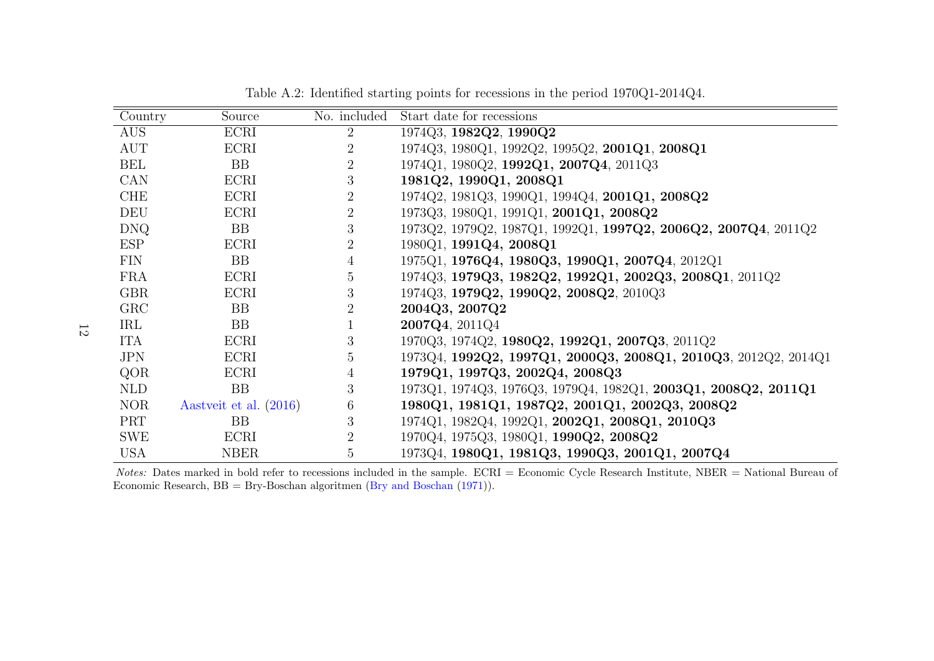| Country    | Source                 | No. included   | Start date for recessions                                      |
|------------|------------------------|----------------|----------------------------------------------------------------|
| <b>AUS</b> | ECRI                   | $\overline{2}$ | 1974Q3, 1982Q2, 1990Q2                                         |
| <b>AUT</b> | ECRI                   | 2              | 1974Q3, 1980Q1, 1992Q2, 1995Q2, 2001Q1, 2008Q1                 |
| <b>BEL</b> | <b>BB</b>              | $\overline{2}$ | 1974Q1, 1980Q2, 1992Q1, 2007Q4, 2011Q3                         |
| CAN        | ECRI                   | 3              | 1981Q2, 1990Q1, 2008Q1                                         |
| <b>CHE</b> | ECRI                   | $\overline{2}$ | 1974Q2, 1981Q3, 1990Q1, 1994Q4, 2001Q1, 2008Q2                 |
| <b>DEU</b> | ECRI                   | $\overline{2}$ | 1973Q3, 1980Q1, 1991Q1, 2001Q1, 2008Q2                         |
| DNQ        | <b>BB</b>              | 3              | 1973Q2, 1979Q2, 1987Q1, 1992Q1, 1997Q2, 2006Q2, 2007Q4, 2011Q2 |
| ESP        | ECRI                   | $\overline{2}$ | 1980Q1, 1991Q4, 2008Q1                                         |
| <b>FIN</b> | BB                     | 4              | 1975Q1, 1976Q4, 1980Q3, 1990Q1, 2007Q4, 2012Q1                 |
| <b>FRA</b> | ECRI                   | 5              | 1974Q3, 1979Q3, 1982Q2, 1992Q1, 2002Q3, 2008Q1, 2011Q2         |
| <b>GBR</b> | ECRI                   | 3              | 1974Q3, 1979Q2, 1990Q2, 2008Q2, 2010Q3                         |
| GRC        | <b>BB</b>              | $\overline{2}$ | 2004Q3, 2007Q2                                                 |
| IRL        | <b>BB</b>              |                | 2007Q4, 2011Q4                                                 |
| ITA        | ECRI                   | 3              | 1970Q3, 1974Q2, 1980Q2, 1992Q1, 2007Q3, 2011Q2                 |
| <b>JPN</b> | ECRI                   | 5              | 1973Q4, 1992Q2, 1997Q1, 2000Q3, 2008Q1, 2010Q3, 2012Q2, 2014Q1 |
| QOR        | ECRI                   | $\overline{4}$ | 1979Q1, 1997Q3, 2002Q4, 2008Q3                                 |
| <b>NLD</b> | <b>BB</b>              | 3              | 1973Q1, 1974Q3, 1976Q3, 1979Q4, 1982Q1, 2003Q1, 2008Q2, 2011Q1 |
| NOR        | Aastveit et al. (2016) | 6              | 1980Q1, 1981Q1, 1987Q2, 2001Q1, 2002Q3, 2008Q2                 |
| PRT        | <b>BB</b>              | 3              | 1974Q1, 1982Q4, 1992Q1, 2002Q1, 2008Q1, 2010Q3                 |
| <b>SWE</b> | ECRI                   | $\overline{2}$ | 1970Q4, 1975Q3, 1980Q1, 1990Q2, 2008Q2                         |
| <b>USA</b> | <b>NBER</b>            | 5              | 1973Q4, 1980Q1, 1981Q3, 1990Q3, 2001Q1, 2007Q4                 |

<span id="page-12-0"></span>Table A.2: Identified starting points for recessions in the period 1970Q1-2014Q4.

Notes: Dates marked in bold refer to recessions included in the sample. ECRI = Economic Cycle Research Institute, NBER = National Bureau of Economic Research, BB <sup>=</sup> Bry-Boschan algoritmen (Bry and [Boschan](#page-9-17) ([1971\)](#page-9-17)).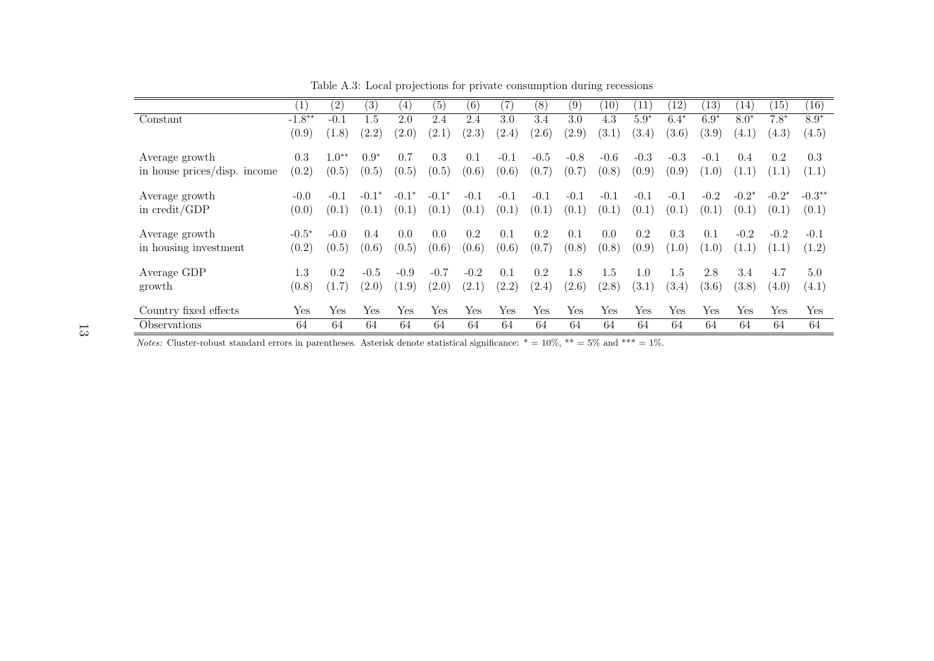|                               | $\left(1\right)$ | (2)       | (3)     | $\left(4\right)$ | $\left( 5\right)$ | $\left( 6\right)$ | $\mathcal{L}$ | (8)    | (9)    | $\left(10\right)$ | (11    | 12)    | $\left(13\right)$ | (14)    | (15)    | (16)         |
|-------------------------------|------------------|-----------|---------|------------------|-------------------|-------------------|---------------|--------|--------|-------------------|--------|--------|-------------------|---------|---------|--------------|
| Constant                      | $-1.8**$         | $-0.1$    | 1.5     | 2.0              | 2.4               | 2.4               | 3.0           | 3.4    | 3.0    | 4.3               | $5.9*$ | $6.4*$ | $6.9*$            | $8.0*$  | $7.8*$  | $8.9^{\ast}$ |
|                               | (0.9)            | (1.8)     | (2.2)   | (2.0)            | (2.1)             | (2.3)             | (2.4)         | (2.6)  | (2.9)  | (3.1)             | (3.4)  | (3.6)  | (3.9)             | (4.1)   | (4.3)   | (4.5)        |
|                               |                  |           |         |                  |                   |                   |               |        |        |                   |        |        |                   |         |         |              |
| Average growth                | 0.3              | $.0^{**}$ | $0.9*$  | 0.7              | 0.3               | 0.1               | $-0.1$        | $-0.5$ | $-0.8$ | $-0.6$            | $-0.3$ | $-0.3$ | $-0.1$            | 0.4     | 0.2     | 0.3          |
| in house prices/disp. income  | (0.2)            | (0.5)     | (0.5)   | (0.5)            | (0.5)             | (0.6)             | (0.6)         | (0.7)  | (0.7)  | (0.8)             | (0.9)  | (0.9)  | (1.0)             | (1.1)   | (1.1)   | (1.1)        |
|                               |                  |           |         |                  |                   |                   |               |        |        |                   |        |        |                   |         |         |              |
| Average growth                | $-0.0$           | $-0.1$    | $-0.1*$ | $-0.1*$          | $-0.1*$           | $-0.1$            | $-0.1$        | $-0.1$ | $-0.1$ | $-0.1$            | $-0.1$ | $-0.1$ | $-0.2$            | $-0.2*$ | $-0.2*$ | $-0.3**$     |
| in $\text{credit}/\text{GDP}$ | (0.0)            | (0.1)     | (0.1)   | (0.1)            | (0.1)             | (0.1)             | (0.1)         | (0.1)  | (0.1)  | (0.1)             | (0.1)  | (0.1)  | (0.1)             | (0.1)   | (0.1)   | (0.1)        |
|                               |                  |           |         |                  |                   |                   |               |        |        |                   |        |        |                   |         |         |              |
| Average growth                | $-0.5*$          | $-0.0$    | 0.4     | 0.0              | 0.0               | 0.2               | 0.1           | 0.2    | 0.1    | 0.0               | 0.2    | 0.3    | 0.1               | $-0.2$  | $-0.2$  | $-0.1$       |
| in housing investment         | (0.2)            | (0.5)     | (0.6)   | (0.5)            | (0.6)             | (0.6)             | (0.6)         | (0.7)  | (0.8)  | (0.8)             | (0.9)  | (1.0)  | (1.0)             | (1.1)   | (1.1)   | (1.2)        |
|                               |                  |           |         |                  |                   |                   |               |        |        |                   |        |        |                   |         |         |              |
| Average GDP                   | 1.3              | 0.2       | $-0.5$  | $-0.9$           | $-0.7$            | $-0.2$            | 0.1           | 0.2    | 1.8    | 1.5               | 1.0    | 1.5    | 2.8               | 3.4     | 4.7     | 5.0          |
| growth                        | (0.8)            |           | (2.0)   | (1.9)            | (2.0)             | (2.1)             | (2.2)         | (2.4)  | (2.6)  | (2.8)             | (3.1)  | (3.4)  | (3.6)             | (3.8)   | (4.0)   | (4.1)        |
|                               |                  |           |         |                  |                   |                   |               |        |        |                   |        |        |                   |         |         |              |
| Country fixed effects         | Yes              | Yes       | Yes     | Yes              | Yes               | Yes               | Yes           | Yes    | Yes    | Yes               | Yes    | Yes    | Yes               | Yes     | Yes     | Yes          |
| Observations                  | 64               | 64        | 64      | 64               | 64                | 64                | 64            | 64     | 64     | 64                | 64     | 64     | 64                | 64      | 64      | 64           |

<span id="page-13-0"></span>Table A.3: Local projections for private consumption during recessions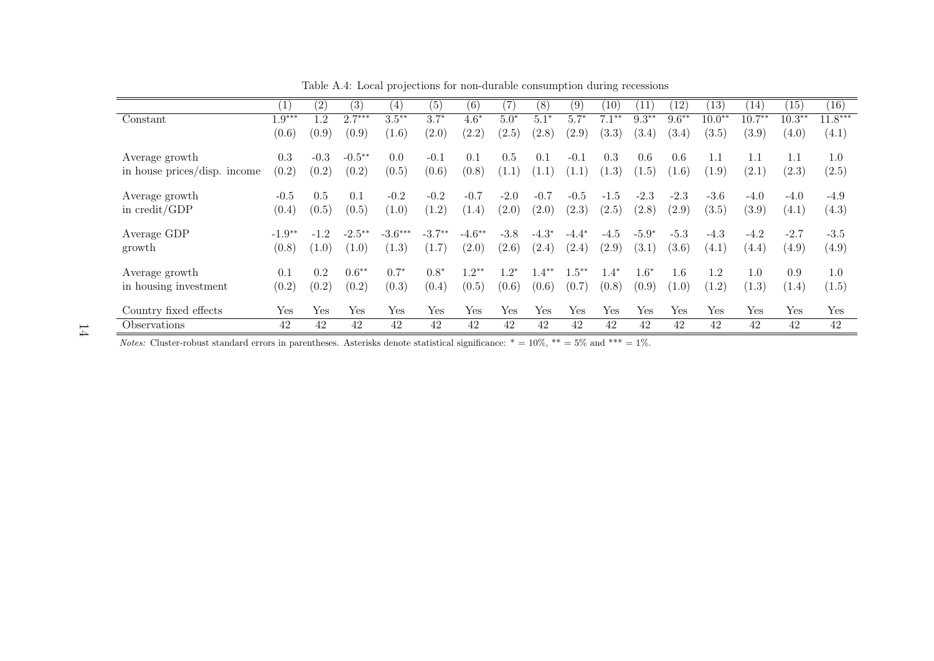|                              | (1)      | (2)    | (3)       | (4)       | (5)      | (6)      | (7)    | (8)     | (9)     | (10)    | 11      | $^{\prime}12$ | (13)     | (14)     | (15)     | (16)      |
|------------------------------|----------|--------|-----------|-----------|----------|----------|--------|---------|---------|---------|---------|---------------|----------|----------|----------|-----------|
| Constant                     | $1.9***$ | 1.2    | $2.7***$  | $3.5***$  | $3.7*$   | $4.6*$   | $5.0*$ | $5.1*$  | $5.7*$  | $7.1**$ | $9.3**$ | $9.6***$      | $10.0**$ | $10.7**$ | $10.3**$ | $11.8***$ |
|                              | (0.6)    | (0.9)  | (0.9)     | (1.6)     | (2.0)    | (2.2)    | (2.5)  | (2.8)   | (2.9)   | (3.3)   | (3.4)   | (3.4)         | (3.5)    | (3.9)    | (4.0)    | (4.1)     |
| Average growth               | 0.3      | $-0.3$ | $-0.5***$ | 0.0       | $-0.1$   | 0.1      | 0.5    | 0.1     | $-0.1$  | 0.3     | 0.6     | 0.6           | 1.1      | 1.1      | 1.1      | 1.0       |
| in house prices/disp. income | (0.2)    | (0.2)  | (0.2)     | (0.5)     | (0.6)    | (0.8)    | (1.1   | (1.1)   | (1.1)   | (1.3)   | (1.5)   | (1.6)         | (1.9)    | (2.1)    | (2.3)    | (2.5)     |
| Average growth               | $-0.5$   | 0.5    | 0.1       | $-0.2$    | $-0.2$   | $-0.7$   | $-2.0$ | $-0.7$  | $-0.5$  | $-1.5$  | $-2.3$  | $-2.3$        | $-3.6$   | $-4.0$   | $-4.0$   | $-4.9$    |
| in credit/GDP                | (0.4)    | (0.5)  | (0.5)     | (1.0)     | (1.2)    | (1.4)    | (2.0)  | (2.0)   | (2.3)   | (2.5)   | (2.8)   | (2.9)         | (3.5)    | (3.9)    | (4.1)    | (4.3)     |
| Average $\operatorname{GDP}$ | $-1.9**$ | $-1.2$ | $-2.5***$ | $-3.6***$ | $-3.7**$ | $-4.6**$ | $-3.8$ | $-4.3*$ | $-4.4*$ | $-4.5$  | $-5.9*$ | $-5.3$        | $-4.3$   | $-4.2$   | $-2.7$   | $-3.5$    |
| growth                       | (0.8)    | (1.0)  | (1.0)     | (1.3)     | (1.7)    | (2.0)    | (2.6)  | (2.4)   | (2.4)   | (2.9)   | (3.1)   | (3.6)         | (4.1)    | (4.4)    | (4.9)    | (4.9)     |
| Average growth               | 0.1      | 0.2    | $0.6**$   | $0.7*$    | $0.8*$   | $1.2**$  | $1.2*$ | $.4***$ | $.5***$ | $1.4*$  | $1.6*$  | 1.6           | 1.2      | 1.0      | 0.9      | 1.0       |
| in housing investment        | (0.2)    | (0.2)  | (0.2)     | (0.3)     | (0.4)    | (0.5)    | (0.6)  | (0.6)   | (0.7)   | (0.8)   | (0.9)   | (1.0)         | (1.2)    | (1.3)    | (1.4)    | (1.5)     |
| Country fixed effects        | Yes      | Yes    | Yes       | Yes       | Yes      | Yes      | Yes    | Yes     | Yes     | Yes     | Yes     | Yes           | Yes      | Yes      | Yes      | Yes       |
| Observations                 | 42       | 42     | 42        | 42        | 42       | 42       | 42     | 42      | 42      | 42      | 42      | 42            | 42       | 42       | 42       | 42        |

Table A.4: Local projections for non-durable consumption during recessions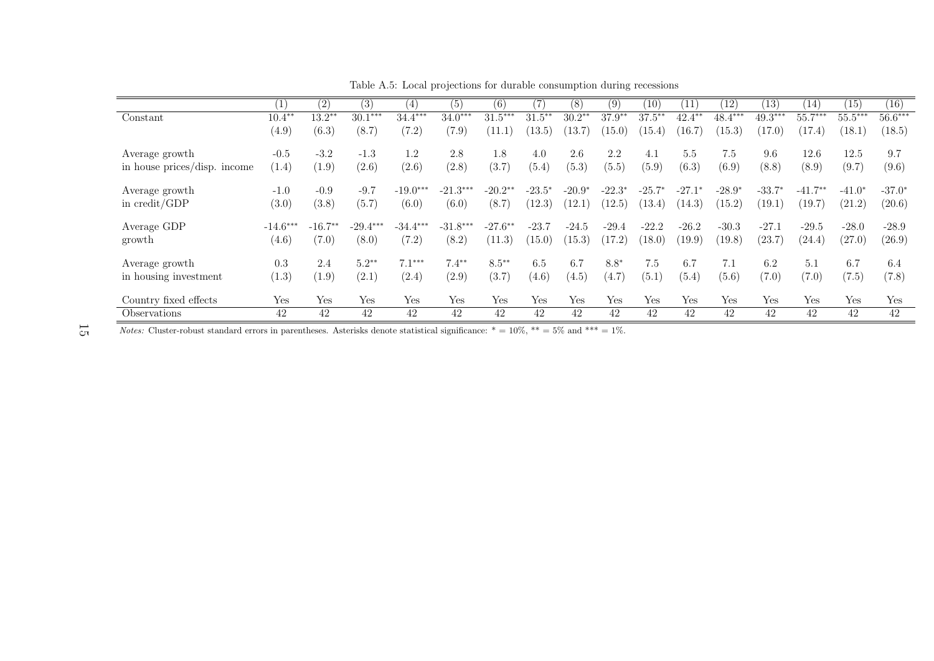|                               | (1)        | (2)       | (3)        | (4)        | (5)        | (6)       | (7)       | (8)      | (9)      | (10)      | (11)      | 12)       | (13)      | (14)           | (15)      | (16)      |
|-------------------------------|------------|-----------|------------|------------|------------|-----------|-----------|----------|----------|-----------|-----------|-----------|-----------|----------------|-----------|-----------|
| Constant                      | $10.4**$   | $13.2**$  | $30.1***$  | $34.4***$  | $34.0***$  | $31.5***$ | $31.5***$ | $30.2**$ | $37.9**$ | $37.5***$ | $42.4***$ | $48.4***$ | $49.3***$ | $55.7***$      | $55.5***$ | $56.6***$ |
|                               | (4.9)      | (6.3)     | (8.7)      | (7.2)      | (7.9)      | (11.1)    | 13.5)     | 13.7     | (15.0)   | (15.4)    | (16.7)    | (15.3)    | (17.0)    | (17.4)         | (18.1)    | (18.5)    |
| Average growth                | $-0.5$     | $-3.2$    | $-1.3$     | 1.2        | 2.8        | 1.8       | 4.0       | 2.6      | 2.2      | 4.1       | 5.5       | 7.5       | 9.6       | 12.6           | 12.5      | 9.7       |
| in house prices/disp. income  | (1.4)      | (1.9)     | (2.6)      | (2.6)      | (2.8)      | (3.7)     | (5.4)     | (5.3)    | (5.5)    | (5.9)     | (6.3)     | (6.9)     | (8.8)     | (8.9)          | (9.7)     | (9.6)     |
| Average growth                | $-1.0$     | $-0.9$    | $-9.7$     | $-19.0***$ | $-21.3***$ | $-20.2**$ | $-23.5*$  | $-20.9*$ | $-22.3*$ | $-25.7*$  | $-27.1*$  | $-28.9*$  | $-33.7$   | $7**$<br>-41.7 | $-41.0*$  | $-37.0*$  |
| in $\text{credit}/\text{GDP}$ | (3.0)      | (3.8)     | (5.7)      | (6.0)      | (6.0)      | (8.7)     | (12.3)    | (12.1)   | (12.5)   | (13.4)    | (14.3)    | (15.2)    | (19.1)    | (19.7)         | (21.2)    | (20.6)    |
| Average GDP                   | $-14.6***$ | $-16.7**$ | $-29.4***$ | $-34.4***$ | $-31.8***$ | $-27.6**$ | $-23.7$   | $-24.5$  | $-29.4$  | $-22.2$   | $-26.2$   | $-30.3$   | $-27.1$   | $-29.5$        | $-28.0$   | $-28.9$   |
| growth                        | (4.6)      | (7.0)     | (8.0)      | (7.2)      | (8.2)      | (11.3)    | (15.0)    | (15.3)   | (17.2)   | (18.0)    | (19.9)    | (19.8)    | (23.7)    | (24.4)         | (27.0)    | (26.9)    |
| Average growth                | 0.3        | 2.4       | $5.2**$    | $7.1***$   | $7.4**$    | $8.5***$  | 6.5       | 6.7      | $8.8*$   | 7.5       | 6.7       |           | 6.2       | 5.1            | 6.7       | 6.4       |
| in housing investment         | (1.3)      | (1.9)     | (2.1)      | (2.4)      | (2.9)      | (3.7)     | (4.6)     | (4.5)    | (4.7)    | (5.1)     | (5.4)     | (5.6)     | (7.0)     | (7.0)          | (7.5)     | (7.8)     |
| Country fixed effects         | Yes        | Yes       | Yes        | Yes        | Yes        | Yes       | Yes       | Yes      | Yes      | Yes       | Yes       | Yes       | Yes       | Yes            | Yes       | Yes       |
| Observations                  | 42         | 42        | 42         | 42         | 42         | 42        | 42        | 42       | 42       | 42        | 42        | 42        | 42        | 42             | 42        | 42        |

Table A.5: Local projections for durable consumption during recessions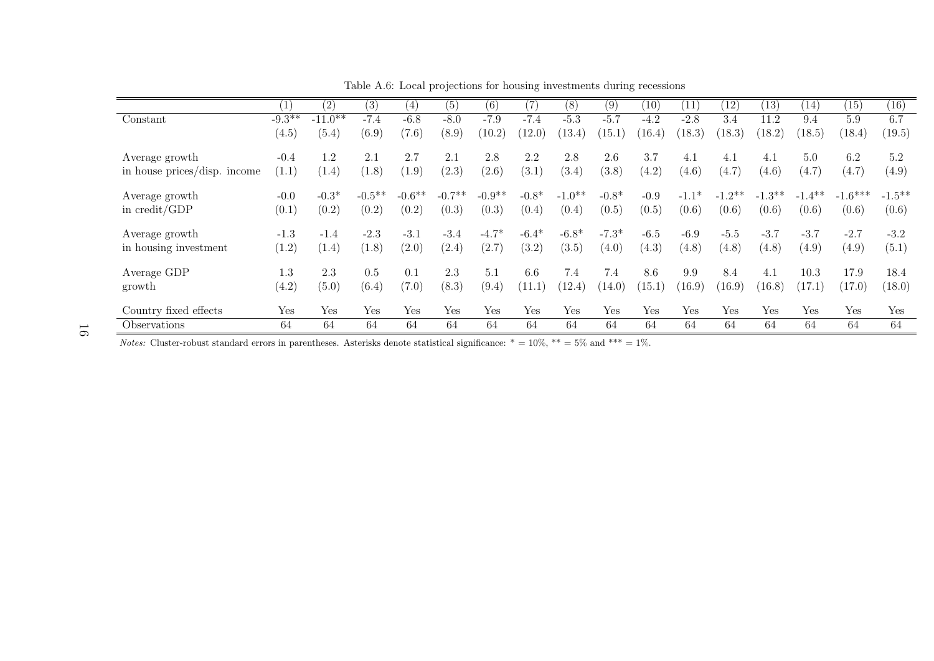|                               | $\left( 1\right)$ | $\left( 2\right)$ | $\left( 3\right)$ | (4)      | (5)      | (6)      | (7      | (8)      | (9)          | (10)         | (11)    | (12)     | (13)     | (14)     | (15)             | (16)      |
|-------------------------------|-------------------|-------------------|-------------------|----------|----------|----------|---------|----------|--------------|--------------|---------|----------|----------|----------|------------------|-----------|
| Constant                      | $-9.3**$          | $-11.0**$         | $-7.4$            | $-6.8$   | $-8.0$   | $-7.9$   | $-7.4$  | $-5.3$   | $-5.7$       | $-4.2$       | $-2.8$  | 3.4      | 11.2     | 9.4      | 5.9              | 6.7       |
|                               | (4.5)             | (5.4)             | (6.9)             | (7.6)    | (8.9)    | (10.2)   | 12.0)   | 13.4)    | (15.1)       | (16.4)       | (18.3)  | (18.3)   | (18.2)   | 18.5)    | (18.4)           | (19.5)    |
| Average growth                | $-0.4$            | 1.2               | 2.1               | 2.7      | 2.1      | 2.8      | 2.2     | 2.8      | 2.6          | 3.7          | 4.1     | 4.1      | 4.1      | 5.0      | 6.2              | 5.2       |
| in house prices/disp. income  | (1.1)             | (1.4)             | (1.8)             | (1.9)    | (2.3)    | (2.6)    | (3.1)   | (3.4)    | (3.8)        | (4.2)        | (4.6)   | (4.7)    | (4.6)    | (4.7)    | (4.7)            | (4.9)     |
| Average growth                | $-0.0$            | $-0.3*$           | $-0.5**$          | $-0.6**$ | $-0.7**$ | $-0.9**$ | $-0.8*$ | $-1.0**$ | $-0.8*$      | $-0.9$       | $-1.1*$ | $-1.2**$ | $-1.3**$ | $-1.4**$ | $1.6***$<br>$-1$ | $-1.5***$ |
| in $\text{credit}/\text{GDP}$ | (0.1)             | (0.2)             | (0.2)             | (0.2)    | (0.3)    | (0.3)    | (0.4)   | (0.4)    | (0.5)        | (0.5)        | (0.6)   | (0.6)    | (0.6)    | (0.6)    | (0.6)            | (0.6)     |
| Average growth                | $-1.3$            | $-1.4$            | $-2.3$            | $-3.1$   | $-3.4$   | $-4.7*$  | $-6.4*$ | $-6.8*$  | $-7.3*$      | $-6.5$       | $-6.9$  | $-5.5$   | $-3.7$   | $-3.7$   | $-2.7$           | $-3.2$    |
| in housing investment         | (1.2)             | (1.4)             | (1.8)             | (2.0)    | (2.4)    | (2.7)    | (3.2)   | (3.5)    | (4.0)        | (4.3)        | (4.8)   | (4.8)    | (4.8)    | (4.9)    | (4.9)            | (5.1)     |
| Average GDP                   | 1.3               | 2.3               | 0.5               | 0.1      | 2.3      | 5.1      | 6.6     | 7.4      | 7.4          | 8.6          | 9.9     | 8.4      | 4.1      | 10.3     | 17.9             | 18.4      |
| growth                        | (4.2)             | (5.0)             | (6.4)             | (7.0)    | (8.3)    | (9.4)    | (11.1)  | 12.4)    | (14.0)       | (15.1)       | (16.9)  | (16.9)   | (16.8)   | (17.1)   | (17.0)           | (18.0)    |
| Country fixed effects         | Yes               | Yes               | Yes               | Yes      | Yes      | Yes      | Yes     | Yes      | $_{\rm Yes}$ | $_{\rm Yes}$ | Yes     | Yes      | Yes      | Yes      | Yes              | Yes       |
| Observations                  | 64                | 64                | 64                | 64       | 64       | 64       | 64      | 64       | 64           | 64           | 64      | 64       | 64       | 64       | 64               | 64        |

Table A.6: Local projections for housing investments during recessions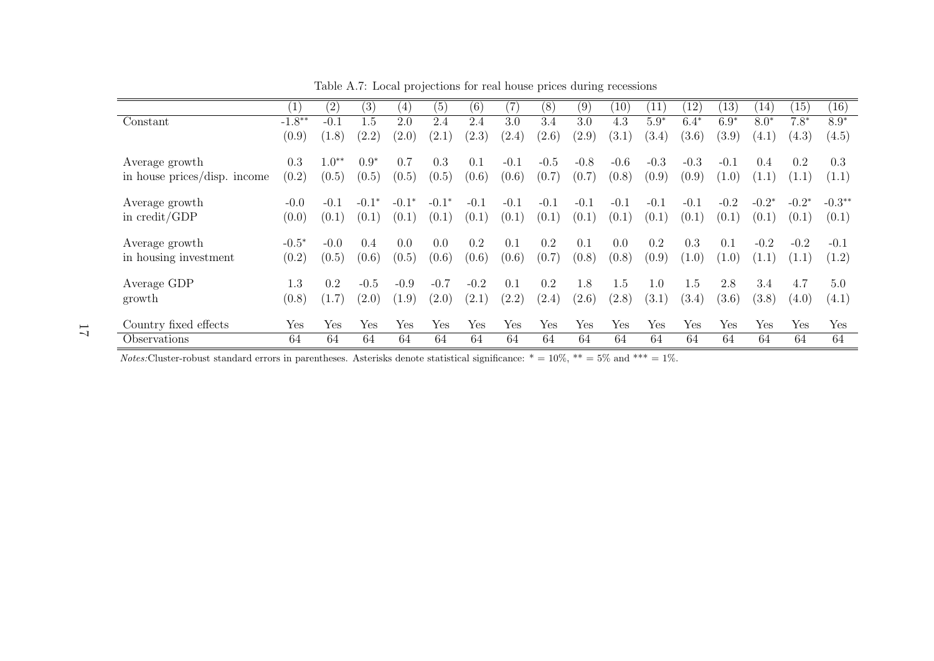|                                                 | $\perp$         | (2)              | (3)              | $\left(4\right)$ | (5)              | (6)             | $7\,$           | (8)             | (9)             | (10)            | $\left(11\right)$ | 12)             | $\left(13\right)$ | (14)             | (15)             | (16)              |
|-------------------------------------------------|-----------------|------------------|------------------|------------------|------------------|-----------------|-----------------|-----------------|-----------------|-----------------|-------------------|-----------------|-------------------|------------------|------------------|-------------------|
| Constant                                        | $-1.8**$        | $-0.1$           | 1.5              | 2.0              | $2.\overline{4}$ | 2.4             | 3.0             | 3.4             | 3.0             | 4.3             | $5.9*$            | $6.4*$          | $6.9*$            | $8.0*$           | $7.8*$           | $8.9*$            |
|                                                 | (0.9)           | (1.8)            | (2.2)            | (2.0)            | (2.1)            | (2.3)           | (2.4)           | (2.6)           | (2.9)           | (3.1)           | (3.4)             | (3.6)           | (3.9)             | (4.1)            | (4.3)            | (4.5)             |
| Average growth<br>in house prices/disp. income  | 0.3<br>(0.2)    | $1.0**$<br>(0.5) | $0.9*$<br>(0.5)  | 0.7<br>(0.5)     | 0.3<br>(0.5)     | 0.1<br>(0.6)    | $-0.1$<br>(0.6) | $-0.5$<br>(0.7) | $-0.8$<br>(0.7) | $-0.6$<br>(0.8) | $-0.3$<br>(0.9)   | $-0.3$<br>(0.9) | $-0.1$<br>(1.0)   | 0.4<br>(1.1)     | 0.2<br>(1.1)     | 0.3<br>(1.1)      |
| Average growth<br>in $\text{credit}/\text{GDP}$ | $-0.0$<br>(0.0) | $-0.1$<br>(0.1)  | $-0.1*$<br>(0.1) | $-0.1*$<br>(0.1) | $-0.1*$<br>(0.1) | $-0.1$<br>(0.1) | $-0.1$<br>(0.1) | $-0.1$<br>(0.1) | $-0.1$<br>(0.1) | $-0.1$<br>(0.1) | $-0.1$<br>(0.1)   | $-0.1$<br>(0.1) | $-0.2$<br>(0.1)   | $-0.2*$<br>(0.1) | $-0.2*$<br>(0.1) | $-0.3**$<br>(0.1) |
| Average growth                                  | $-0.5*$         | $-0.0$           | 0.4              | 0.0              | 0.0              | 0.2             | 0.1             | 0.2             | 0.1             | 0.0             | 0.2               | 0.3             | 0.1               | $-0.2$           | $-0.2$           | $-0.1$            |
| in housing investment                           | (0.2)           | (0.5)            | (0.6)            | (0.5)            | (0.6)            | (0.6)           | (0.6)           | (0.7)           | (0.8)           | (0.8)           | (0.9)             | (1.0)           | (1.0)             | (1.1)            | (1.1)            | (1.2)             |
| Average GDP                                     | 1.3             | 0.2              | $-0.5$           | $-0.9$           | $-0.7$           | $-0.2$          | 0.1             | 0.2             | 1.8             | 1.5             | 1.0               | 1.5             | 2.8               | 3.4              | 4.7              | 5.0               |
| growth                                          | (0.8)           | (1.7)            | (2.0)            | (1.9)            | (2.0)            | (2.1)           | (2.2)           | (2.4)           | (2.6)           | (2.8)           | (3.1)             | (3.4)           | (3.6)             | (3.8)            | (4.0)            | (4.1)             |
| Country fixed effects                           | Yes             | Yes              | Yes              | Yes              | Yes              | Yes             | Yes             | Yes             | Yes             | Yes             | Yes               | Yes             | Yes               | Yes              | Yes              | Yes               |
| Observations                                    | 64              | 64               | 64               | 64               | 64               | 64              | 64              | 64              | 64              | 64              | 64                | 64              | 64                | 64               | 64               | 64                |

<span id="page-17-0"></span>Table A.7: Local projections for real house prices during recessions